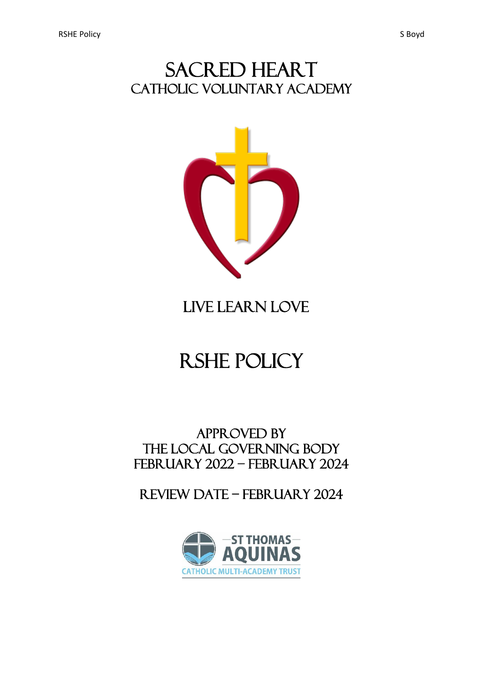## SACRED HEART CATHOLIC VOLUNTARY ACADEMY



# LIVE LEARN LOVE

# RSHE policy

### APPROVED BY THE local GOVERNING BODY February 2022 – February 2024

Review date – February 2024

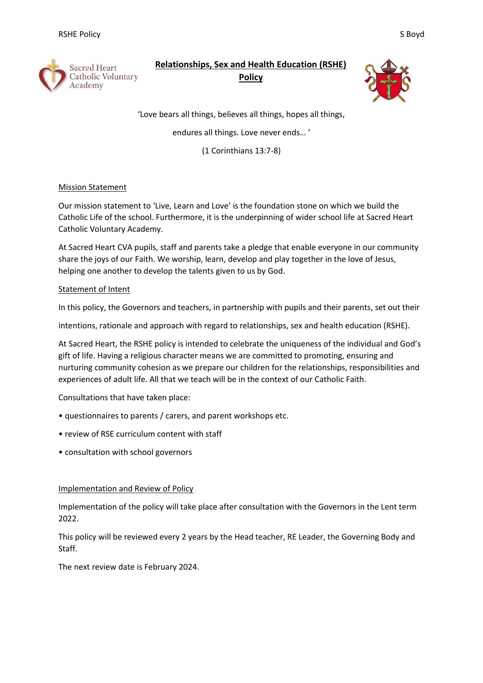

## **Relationships, Sex and Health Education (RSHE)**

**Policy**



'Love bears all things, believes all things, hopes all things,

endures all things. Love never ends… '

(1 Corinthians 13:7-8)

#### Mission Statement

Our mission statement to 'Live, Learn and Love' is the foundation stone on which we build the Catholic Life of the school. Furthermore, it is the underpinning of wider school life at Sacred Heart Catholic Voluntary Academy.

At Sacred Heart CVA pupils, staff and parents take a pledge that enable everyone in our community share the joys of our Faith. We worship, learn, develop and play together in the love of Jesus, helping one another to develop the talents given to us by God.

#### Statement of Intent

In this policy, the Governors and teachers, in partnership with pupils and their parents, set out their

intentions, rationale and approach with regard to relationships, sex and health education (RSHE).

At Sacred Heart, the RSHE policy is intended to celebrate the uniqueness of the individual and God's gift of life. Having a religious character means we are committed to promoting, ensuring and nurturing community cohesion as we prepare our children for the relationships, responsibilities and experiences of adult life. All that we teach will be in the context of our Catholic Faith.

Consultations that have taken place:

- questionnaires to parents / carers, and parent workshops etc.
- review of RSE curriculum content with staff
- consultation with school governors

#### Implementation and Review of Policy

Implementation of the policy will take place after consultation with the Governors in the Lent term 2022.

This policy will be reviewed every 2 years by the Head teacher, RE Leader, the Governing Body and Staff.

The next review date is February 2024.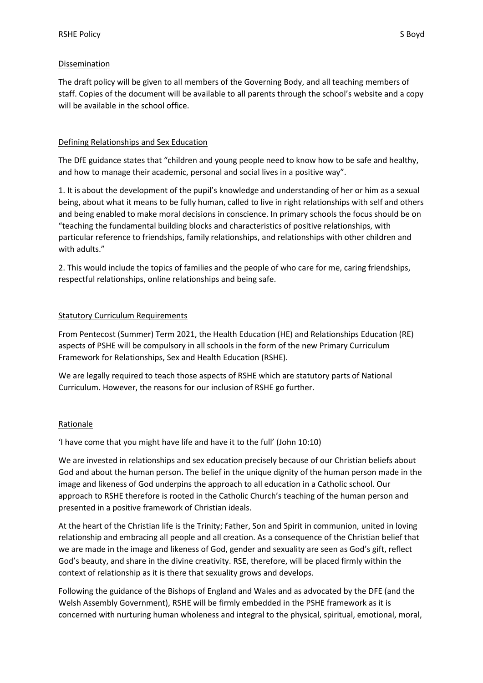#### Dissemination

The draft policy will be given to all members of the Governing Body, and all teaching members of staff. Copies of the document will be available to all parents through the school's website and a copy will be available in the school office.

#### Defining Relationships and Sex Education

The DfE guidance states that "children and young people need to know how to be safe and healthy, and how to manage their academic, personal and social lives in a positive way".

1. It is about the development of the pupil's knowledge and understanding of her or him as a sexual being, about what it means to be fully human, called to live in right relationships with self and others and being enabled to make moral decisions in conscience. In primary schools the focus should be on "teaching the fundamental building blocks and characteristics of positive relationships, with particular reference to friendships, family relationships, and relationships with other children and with adults."

2. This would include the topics of families and the people of who care for me, caring friendships, respectful relationships, online relationships and being safe.

#### Statutory Curriculum Requirements

From Pentecost (Summer) Term 2021, the Health Education (HE) and Relationships Education (RE) aspects of PSHE will be compulsory in all schools in the form of the new Primary Curriculum Framework for Relationships, Sex and Health Education (RSHE).

We are legally required to teach those aspects of RSHE which are statutory parts of National Curriculum. However, the reasons for our inclusion of RSHE go further.

#### Rationale

'I have come that you might have life and have it to the full' (John 10:10)

We are invested in relationships and sex education precisely because of our Christian beliefs about God and about the human person. The belief in the unique dignity of the human person made in the image and likeness of God underpins the approach to all education in a Catholic school. Our approach to RSHE therefore is rooted in the Catholic Church's teaching of the human person and presented in a positive framework of Christian ideals.

At the heart of the Christian life is the Trinity; Father, Son and Spirit in communion, united in loving relationship and embracing all people and all creation. As a consequence of the Christian belief that we are made in the image and likeness of God, gender and sexuality are seen as God's gift, reflect God's beauty, and share in the divine creativity. RSE, therefore, will be placed firmly within the context of relationship as it is there that sexuality grows and develops.

Following the guidance of the Bishops of England and Wales and as advocated by the DFE (and the Welsh Assembly Government), RSHE will be firmly embedded in the PSHE framework as it is concerned with nurturing human wholeness and integral to the physical, spiritual, emotional, moral,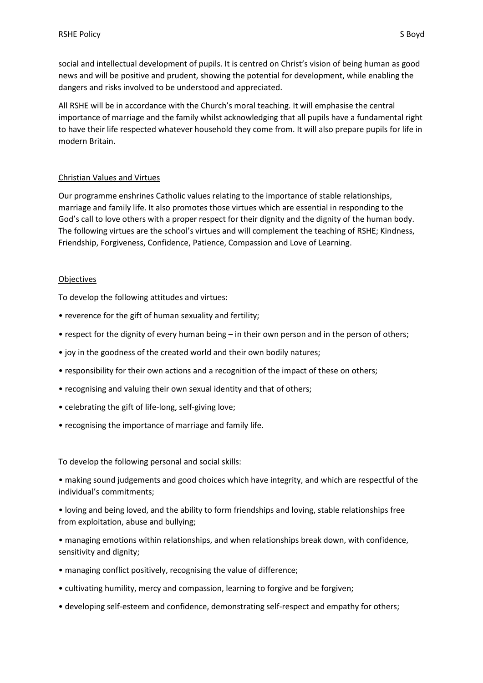social and intellectual development of pupils. It is centred on Christ's vision of being human as good news and will be positive and prudent, showing the potential for development, while enabling the dangers and risks involved to be understood and appreciated.

All RSHE will be in accordance with the Church's moral teaching. It will emphasise the central importance of marriage and the family whilst acknowledging that all pupils have a fundamental right to have their life respected whatever household they come from. It will also prepare pupils for life in modern Britain.

#### Christian Values and Virtues

Our programme enshrines Catholic values relating to the importance of stable relationships, marriage and family life. It also promotes those virtues which are essential in responding to the God's call to love others with a proper respect for their dignity and the dignity of the human body. The following virtues are the school's virtues and will complement the teaching of RSHE; Kindness, Friendship, Forgiveness, Confidence, Patience, Compassion and Love of Learning.

#### Objectives

To develop the following attitudes and virtues:

- reverence for the gift of human sexuality and fertility;
- respect for the dignity of every human being in their own person and in the person of others;
- joy in the goodness of the created world and their own bodily natures;
- responsibility for their own actions and a recognition of the impact of these on others;
- recognising and valuing their own sexual identity and that of others;
- celebrating the gift of life-long, self-giving love;
- recognising the importance of marriage and family life.

To develop the following personal and social skills:

• making sound judgements and good choices which have integrity, and which are respectful of the individual's commitments;

• loving and being loved, and the ability to form friendships and loving, stable relationships free from exploitation, abuse and bullying;

• managing emotions within relationships, and when relationships break down, with confidence, sensitivity and dignity;

- managing conflict positively, recognising the value of difference;
- cultivating humility, mercy and compassion, learning to forgive and be forgiven;
- developing self-esteem and confidence, demonstrating self-respect and empathy for others;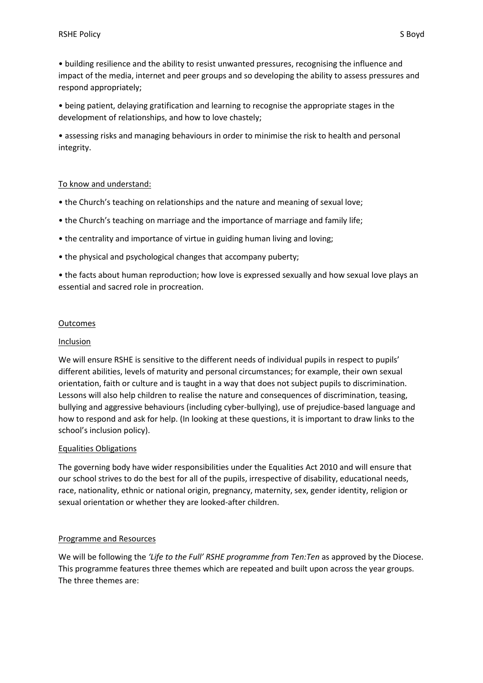• building resilience and the ability to resist unwanted pressures, recognising the influence and impact of the media, internet and peer groups and so developing the ability to assess pressures and respond appropriately;

• being patient, delaying gratification and learning to recognise the appropriate stages in the development of relationships, and how to love chastely;

• assessing risks and managing behaviours in order to minimise the risk to health and personal integrity.

#### To know and understand:

- the Church's teaching on relationships and the nature and meaning of sexual love;
- the Church's teaching on marriage and the importance of marriage and family life;
- the centrality and importance of virtue in guiding human living and loving;
- the physical and psychological changes that accompany puberty;

• the facts about human reproduction; how love is expressed sexually and how sexual love plays an essential and sacred role in procreation.

#### **Outcomes**

#### Inclusion

We will ensure RSHE is sensitive to the different needs of individual pupils in respect to pupils' different abilities, levels of maturity and personal circumstances; for example, their own sexual orientation, faith or culture and is taught in a way that does not subject pupils to discrimination. Lessons will also help children to realise the nature and consequences of discrimination, teasing, bullying and aggressive behaviours (including cyber-bullying), use of prejudice-based language and how to respond and ask for help. (In looking at these questions, it is important to draw links to the school's inclusion policy).

#### Equalities Obligations

The governing body have wider responsibilities under the Equalities Act 2010 and will ensure that our school strives to do the best for all of the pupils, irrespective of disability, educational needs, race, nationality, ethnic or national origin, pregnancy, maternity, sex, gender identity, religion or sexual orientation or whether they are looked-after children.

#### Programme and Resources

We will be following the *'Life to the Full' RSHE programme from Ten:Ten* as approved by the Diocese. This programme features three themes which are repeated and built upon across the year groups. The three themes are: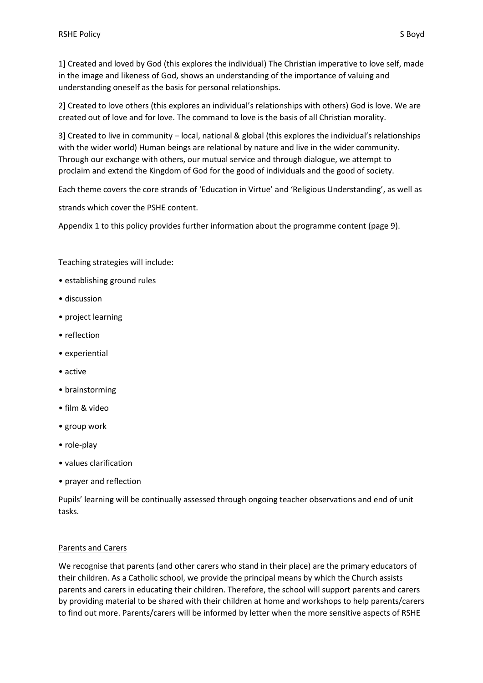1] Created and loved by God (this explores the individual) The Christian imperative to love self, made in the image and likeness of God, shows an understanding of the importance of valuing and understanding oneself as the basis for personal relationships.

2] Created to love others (this explores an individual's relationships with others) God is love. We are created out of love and for love. The command to love is the basis of all Christian morality.

3] Created to live in community – local, national & global (this explores the individual's relationships with the wider world) Human beings are relational by nature and live in the wider community. Through our exchange with others, our mutual service and through dialogue, we attempt to proclaim and extend the Kingdom of God for the good of individuals and the good of society.

Each theme covers the core strands of 'Education in Virtue' and 'Religious Understanding', as well as

strands which cover the PSHE content.

Appendix 1 to this policy provides further information about the programme content (page 9).

Teaching strategies will include:

- establishing ground rules
- discussion
- project learning
- reflection
- experiential
- active
- brainstorming
- film & video
- group work
- role-play
- values clarification
- prayer and reflection

Pupils' learning will be continually assessed through ongoing teacher observations and end of unit tasks.

#### Parents and Carers

We recognise that parents (and other carers who stand in their place) are the primary educators of their children. As a Catholic school, we provide the principal means by which the Church assists parents and carers in educating their children. Therefore, the school will support parents and carers by providing material to be shared with their children at home and workshops to help parents/carers to find out more. Parents/carers will be informed by letter when the more sensitive aspects of RSHE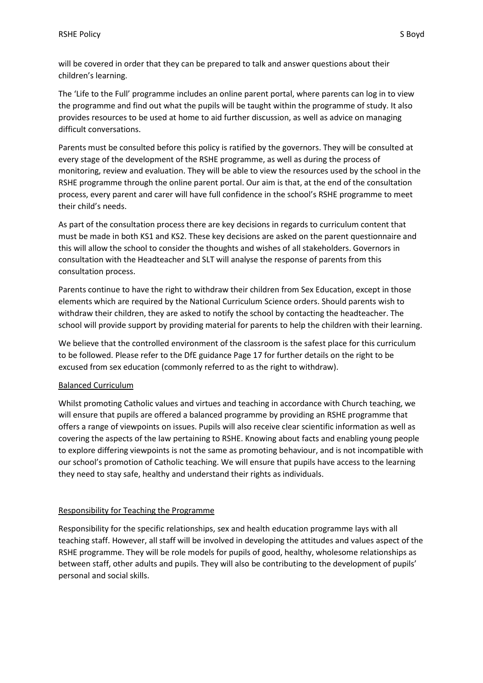will be covered in order that they can be prepared to talk and answer questions about their children's learning.

The 'Life to the Full' programme includes an online parent portal, where parents can log in to view the programme and find out what the pupils will be taught within the programme of study. It also provides resources to be used at home to aid further discussion, as well as advice on managing difficult conversations.

Parents must be consulted before this policy is ratified by the governors. They will be consulted at every stage of the development of the RSHE programme, as well as during the process of monitoring, review and evaluation. They will be able to view the resources used by the school in the RSHE programme through the online parent portal. Our aim is that, at the end of the consultation process, every parent and carer will have full confidence in the school's RSHE programme to meet their child's needs.

As part of the consultation process there are key decisions in regards to curriculum content that must be made in both KS1 and KS2. These key decisions are asked on the parent questionnaire and this will allow the school to consider the thoughts and wishes of all stakeholders. Governors in consultation with the Headteacher and SLT will analyse the response of parents from this consultation process.

Parents continue to have the right to withdraw their children from Sex Education, except in those elements which are required by the National Curriculum Science orders. Should parents wish to withdraw their children, they are asked to notify the school by contacting the headteacher. The school will provide support by providing material for parents to help the children with their learning.

We believe that the controlled environment of the classroom is the safest place for this curriculum to be followed. Please refer to the DfE guidance Page 17 for further details on the right to be excused from sex education (commonly referred to as the right to withdraw).

#### Balanced Curriculum

Whilst promoting Catholic values and virtues and teaching in accordance with Church teaching, we will ensure that pupils are offered a balanced programme by providing an RSHE programme that offers a range of viewpoints on issues. Pupils will also receive clear scientific information as well as covering the aspects of the law pertaining to RSHE. Knowing about facts and enabling young people to explore differing viewpoints is not the same as promoting behaviour, and is not incompatible with our school's promotion of Catholic teaching. We will ensure that pupils have access to the learning they need to stay safe, healthy and understand their rights as individuals.

#### Responsibility for Teaching the Programme

Responsibility for the specific relationships, sex and health education programme lays with all teaching staff. However, all staff will be involved in developing the attitudes and values aspect of the RSHE programme. They will be role models for pupils of good, healthy, wholesome relationships as between staff, other adults and pupils. They will also be contributing to the development of pupils' personal and social skills.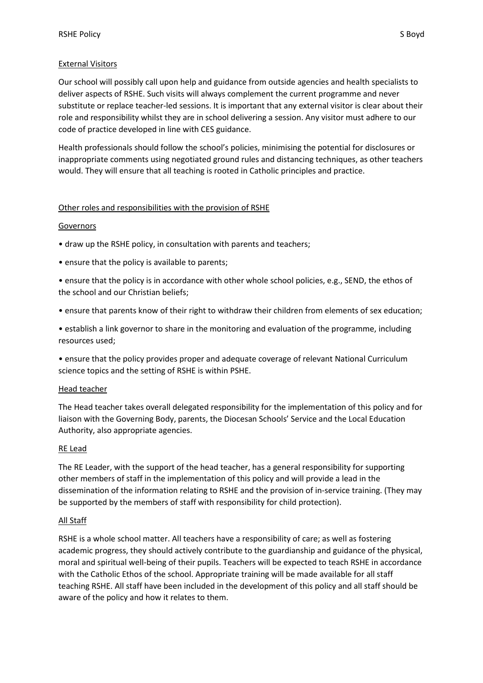#### External Visitors

Our school will possibly call upon help and guidance from outside agencies and health specialists to deliver aspects of RSHE. Such visits will always complement the current programme and never substitute or replace teacher-led sessions. It is important that any external visitor is clear about their role and responsibility whilst they are in school delivering a session. Any visitor must adhere to our code of practice developed in line with CES guidance.

Health professionals should follow the school's policies, minimising the potential for disclosures or inappropriate comments using negotiated ground rules and distancing techniques, as other teachers would. They will ensure that all teaching is rooted in Catholic principles and practice.

#### Other roles and responsibilities with the provision of RSHE

#### **Governors**

- draw up the RSHE policy, in consultation with parents and teachers;
- ensure that the policy is available to parents;
- ensure that the policy is in accordance with other whole school policies, e.g., SEND, the ethos of the school and our Christian beliefs;
- ensure that parents know of their right to withdraw their children from elements of sex education;
- establish a link governor to share in the monitoring and evaluation of the programme, including resources used;
- ensure that the policy provides proper and adequate coverage of relevant National Curriculum science topics and the setting of RSHE is within PSHE.

#### Head teacher

The Head teacher takes overall delegated responsibility for the implementation of this policy and for liaison with the Governing Body, parents, the Diocesan Schools' Service and the Local Education Authority, also appropriate agencies.

#### RE Lead

The RE Leader, with the support of the head teacher, has a general responsibility for supporting other members of staff in the implementation of this policy and will provide a lead in the dissemination of the information relating to RSHE and the provision of in-service training. (They may be supported by the members of staff with responsibility for child protection).

#### All Staff

RSHE is a whole school matter. All teachers have a responsibility of care; as well as fostering academic progress, they should actively contribute to the guardianship and guidance of the physical, moral and spiritual well-being of their pupils. Teachers will be expected to teach RSHE in accordance with the Catholic Ethos of the school. Appropriate training will be made available for all staff teaching RSHE. All staff have been included in the development of this policy and all staff should be aware of the policy and how it relates to them.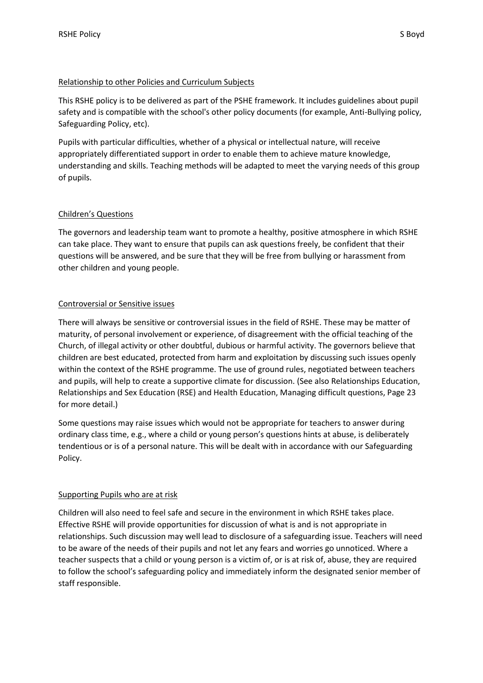#### Relationship to other Policies and Curriculum Subjects

This RSHE policy is to be delivered as part of the PSHE framework. It includes guidelines about pupil safety and is compatible with the school's other policy documents (for example, Anti-Bullying policy, Safeguarding Policy, etc).

Pupils with particular difficulties, whether of a physical or intellectual nature, will receive appropriately differentiated support in order to enable them to achieve mature knowledge, understanding and skills. Teaching methods will be adapted to meet the varying needs of this group of pupils.

#### Children's Questions

The governors and leadership team want to promote a healthy, positive atmosphere in which RSHE can take place. They want to ensure that pupils can ask questions freely, be confident that their questions will be answered, and be sure that they will be free from bullying or harassment from other children and young people.

#### Controversial or Sensitive issues

There will always be sensitive or controversial issues in the field of RSHE. These may be matter of maturity, of personal involvement or experience, of disagreement with the official teaching of the Church, of illegal activity or other doubtful, dubious or harmful activity. The governors believe that children are best educated, protected from harm and exploitation by discussing such issues openly within the context of the RSHE programme. The use of ground rules, negotiated between teachers and pupils, will help to create a supportive climate for discussion. (See also Relationships Education, Relationships and Sex Education (RSE) and Health Education, Managing difficult questions, Page 23 for more detail.)

Some questions may raise issues which would not be appropriate for teachers to answer during ordinary class time, e.g., where a child or young person's questions hints at abuse, is deliberately tendentious or is of a personal nature. This will be dealt with in accordance with our Safeguarding Policy.

#### Supporting Pupils who are at risk

Children will also need to feel safe and secure in the environment in which RSHE takes place. Effective RSHE will provide opportunities for discussion of what is and is not appropriate in relationships. Such discussion may well lead to disclosure of a safeguarding issue. Teachers will need to be aware of the needs of their pupils and not let any fears and worries go unnoticed. Where a teacher suspects that a child or young person is a victim of, or is at risk of, abuse, they are required to follow the school's safeguarding policy and immediately inform the designated senior member of staff responsible.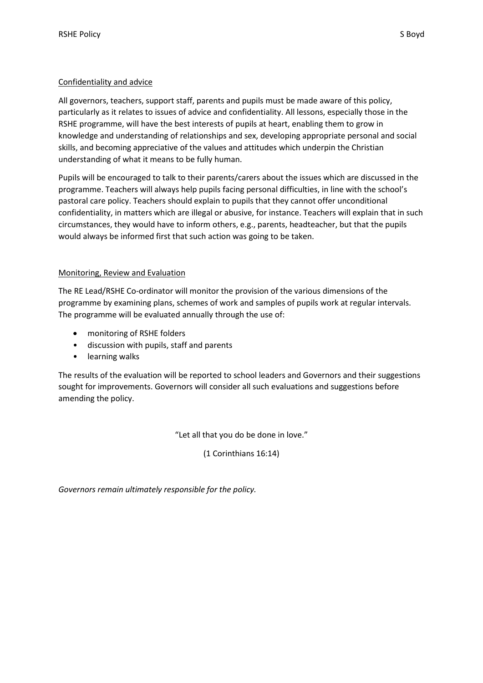#### Confidentiality and advice

All governors, teachers, support staff, parents and pupils must be made aware of this policy, particularly as it relates to issues of advice and confidentiality. All lessons, especially those in the RSHE programme, will have the best interests of pupils at heart, enabling them to grow in knowledge and understanding of relationships and sex, developing appropriate personal and social skills, and becoming appreciative of the values and attitudes which underpin the Christian understanding of what it means to be fully human.

Pupils will be encouraged to talk to their parents/carers about the issues which are discussed in the programme. Teachers will always help pupils facing personal difficulties, in line with the school's pastoral care policy. Teachers should explain to pupils that they cannot offer unconditional confidentiality, in matters which are illegal or abusive, for instance. Teachers will explain that in such circumstances, they would have to inform others, e.g., parents, headteacher, but that the pupils would always be informed first that such action was going to be taken.

#### Monitoring, Review and Evaluation

The RE Lead/RSHE Co-ordinator will monitor the provision of the various dimensions of the programme by examining plans, schemes of work and samples of pupils work at regular intervals. The programme will be evaluated annually through the use of:

- monitoring of RSHE folders
- discussion with pupils, staff and parents
- learning walks

The results of the evaluation will be reported to school leaders and Governors and their suggestions sought for improvements. Governors will consider all such evaluations and suggestions before amending the policy.

"Let all that you do be done in love."

(1 Corinthians 16:14)

*Governors remain ultimately responsible for the policy.*